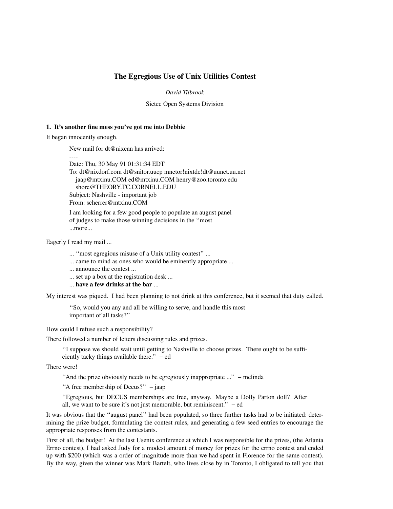# **The Egregious Use of Unix Utilities Contest**

*David Tilbrook*

Sietec Open Systems Division

### **1. It's another fine mess you've got me into Debbie**

It began innocently enough.

New mail for dt@nixcan has arrived:

---- Date: Thu, 30 May 91 01:31:34 EDT To: dt@nixdorf.com dt@snitor.uucp mnetor!nixtdc!dt@uunet.uu.net jaap@mtxinu.COM ed@mtxinu.COM henry@zoo.toronto.edu shore@THEORY.TC.CORNELL.EDU Subject: Nashville - important job From: scherrer@mtxinu.COM

I am looking for a few good people to populate an august panel of judges to make those winning decisions in the ''most ...more...

Eagerly I read my mail ...

- ... ''most egregious misuse of a Unix utility contest'' ...
- ... came to mind as ones who would be eminently appropriate ...
- ... announce the contest ...
- ... set up a box at the registration desk ...
- ... **have a few drinks at the bar** ...

My interest was piqued. I had been planning to not drink at this conference, but it seemed that duty called.

''So, would you any and all be willing to serve, and handle this most important of all tasks?''

How could I refuse such a responsibility?

There followed a number of letters discussing rules and prizes.

''I suppose we should wait until getting to Nashville to choose prizes. There ought to be sufficiently tacky things available there.'' − ed

There were!

''And the prize obviously needs to be egregiously inappropriate ...'' − melinda

''A free membership of Decus?'' − jaap

''Egregious, but DECUS memberships are free, anyway. Maybe a Dolly Parton doll? After all, we want to be sure it's not just memorable, but reminiscent. $' - ed$ 

It was obvious that the ''august panel'' had been populated, so three further tasks had to be initiated: determining the prize budget, formulating the contest rules, and generating a few seed entries to encourage the appropriate responses from the contestants.

First of all, the budget! At the last Usenix conference at which I was responsible for the prizes, (the Atlanta Errno contest), I had asked Judy for a modest amount of money for prizes for the errno contest and ended up with \$200 (which was a order of magnitude more than we had spent in Florence for the same contest). By the way, given the winner was Mark Bartelt, who lives close by in Toronto, I obligated to tell you that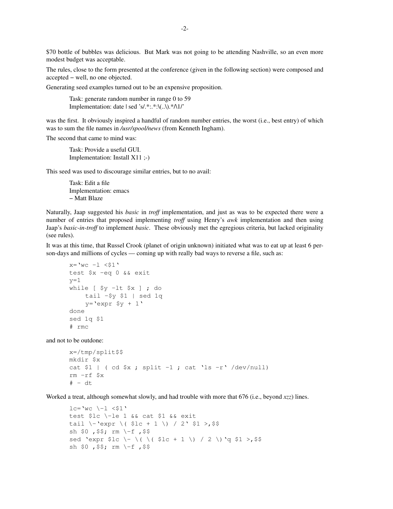\$70 bottle of bubbles was delicious. But Mark was not going to be attending Nashville, so an even more modest budget was acceptable.

The rules, close to the form presented at the conference (given in the following section) were composed and accepted − well, no one objected.

Generating seed examples turned out to be an expensive proposition.

Task: generate random number in range 0 to 59 Implementation: date | sed 's/.\*:.\*:\(..\).\*/\1/'

was the first. It obviously inspired a handful of random number entries, the worst (i.e., best entry) of which was to sum the file names in */usr/spool/news* (from Kenneth Ingham).

The second that came to mind was:

Task: Provide a useful GUI. Implementation: Install X11 ;-)

This seed was used to discourage similar entries, but to no avail:

Task: Edit a file Implementation: emacs − Matt Blaze

Naturally, Jaap suggested his *basic* in *troff* implementation, and just as was to be expected there were a number of entries that proposed implementing *troff* using Henry's *awk* implementation and then using Jaap's *basic-in-troff* to implement *basic*. These obviously met the egregious criteria, but lacked originality (see rules).

It was at this time, that Russel Crook (planet of origin unknown) initiated what was to eat up at least 6 person-days and millions of cycles — coming up with really bad ways to reverse a file, such as:

```
x='wc −l <$1'
test $x −eq 0 && exit
v=1while [ $y −lt $x ] ; do
    tail −$y $1 | sed 1q
    y = 'expr fy + 1'done
sed 1q $1
# rmc
```
and not to be outdone:

```
x=/tmp/split$$
mkdir $x
cat $1 | ( cd $x ; split −1 ; cat 'ls −r' /dev/null)
rm −rf $x
#−dt
```
Worked a treat, although somewhat slowly, and had trouble with more that 676 (i.e., beyond *xzz*) lines.

```
lc='wc \{-1 \leq 1'test $lc \-le 1 && cat $1 && exit
tail \-\text{expr} \ ( \$1c + 1 \ ) / 2 \ $1 >, $$
sh $0 ,$$; rm \-f ,$$
sed 'expr $lc \- \( \( $lc + 1 \) / 2 \) 'q $1 >,$$
sh $0, $$; rm \{-f, $$
```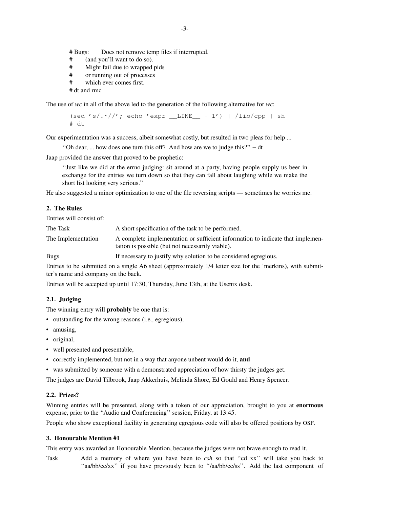# Bugs: Does not remove temp files if interrupted. # (and you'll want to do so). # Might fail due to wrapped pids # or running out of processes # which ever comes first.

# dt and rmc

The use of *wc* in all of the above led to the generation of the following alternative for *wc*:

(sed 's/.\*//'; echo 'expr  $_LINE_ - 1'$ ) | /lib/cpp | sh # dt

Our experimentation was a success, albeit somewhat costly, but resulted in two pleas for help ...

''Oh dear, ... how does one turn this off? And how are we to judge this?''−dt

Jaap provided the answer that proved to be prophetic:

''Just like we did at the errno judging: sit around at a party, having people supply us beer in exchange for the entries we turn down so that they can fall about laughing while we make the short list looking very serious.''

He also suggested a minor optimization to one of the file reversing scripts — sometimes he worries me.

## **2. The Rules**

Entries will consist of:

The Task A short specification of the task to be performed. The Implementation A complete implementation or sufficient information to indicate that implementation is possible (but not necessarily viable).

Bugs If necessary to justify why solution to be considered egregious.

Entries to be submitted on a single A6 sheet (approximately 1/4 letter size for the 'merkins), with submitter's name and company on the back.

Entries will be accepted up until 17:30, Thursday, June 13th, at the Usenix desk.

## **2.1. Judging**

The winning entry will **probably** be one that is:

- outstanding for the wrong reasons (i.e., egregious),
- amusing,
- original,
- well presented and presentable,
- correctly implemented, but not in a way that anyone unbent would do it, **and**

• was submitted by someone with a demonstrated appreciation of how thirsty the judges get.

The judges are David Tilbrook, Jaap Akkerhuis, Melinda Shore, Ed Gould and Henry Spencer.

### **2.2. Prizes?**

Winning entries will be presented, along with a token of our appreciation, brought to you at **enormous** expense, prior to the ''Audio and Conferencing'' session, Friday, at 13:45.

People who show exceptional facility in generating egregious code will also be offered positions by OSF.

## **3. Honourable Mention #1**

This entry was awarded an Honourable Mention, because the judges were not brave enough to read it.

Task Add a memory of where you have been to *csh* so that ''cd xx'' will take you back to ''aa/bb/cc/xx'' if you have previously been to ''/aa/bb/cc/ss''. Add the last component of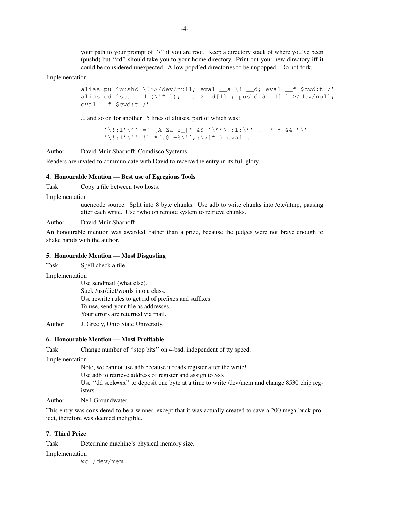your path to your prompt of "/" if you are root. Keep a directory stack of where you've been (pushd) but ''cd'' should take you to your home directory. Print out your new directory iff it could be considered unexpected. Allow popd'ed directories to be unpopped. Do not fork.

#### Implementation

```
alias pu 'pushd \!*>/dev/null; eval __a \! __d; eval __f $cwd:t /'
alias cd 'set _d=(\kappa_1^*, \kappa_2^*); _d \in \mathcal{L}[1]; pushd \frac{d}{d}d[1] >/dev/null;
eval __f $cwd:t /'
```
... and so on for another 15 lines of aliases, part of which was:

```
'\!:1'\'' = ~ [A-Za-z_]* && '\''\!:1;\'' !~ *-* && '\'
'\1:1'\1' !~ *[.@=+%\#^,:\$]* ) eval ...
```
Author David Muir Sharnoff, Comdisco Systems

Readers are invited to communicate with David to receive the entry in its full glory.

## **4. Honourable Mention — Best use of Egregious Tools**

Task Copy a file between two hosts.

Implementation

uuencode source. Split into 8 byte chunks. Use adb to write chunks into /etc/utmp, pausing after each write. Use rwho on remote system to retrieve chunks.

## Author David Muir Sharnoff

An honourable mention was awarded, rather than a prize, because the judges were not brave enough to shake hands with the author.

#### **5. Honourable Mention — Most Disgusting**

Task Spell check a file.

Implementation

Use sendmail (what else). Suck /usr/dict/words into a class. Use rewrite rules to get rid of prefixes and suffixes. To use, send your file as addresses. Your errors are returned via mail.

Author J. Greely, Ohio State University.

## **6. Honourable Mention — Most Profitable**

Task Change number of ''stop bits'' on 4-bsd, independent of tty speed.

Implementation

Note, we cannot use adb because it reads register after the write! Use adb to retrieve address of register and assign to \$xx. Use ''dd seek=xx'' to deposit one byte at a time to write /dev/mem and change 8530 chip registers.

Author Neil Groundwater.

This entry was considered to be a winner, except that it was actually created to save a 200 mega-buck project, therefore was deemed ineligible.

## **7. Third Prize**

Task Determine machine's physical memory size.

Implementation

wc /dev/mem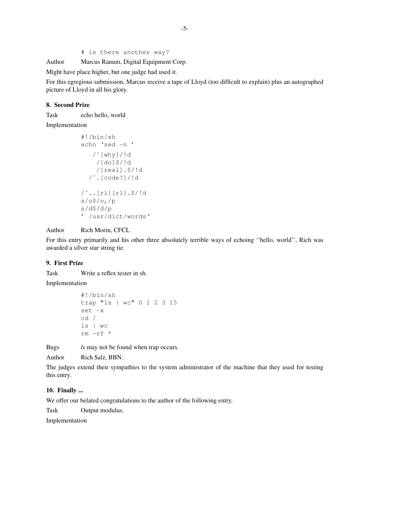# is there another way?

Author Marcus Ranum, Digital Equipment Corp.

Might have place higher, but one judge had used it.

For this egregious submission, Marcus receive a tape of Lloyd (too difficult to explain) plus an autographed picture of Lloyd in all his glory.

## **8. Second Prize**

Task echo hello, world

Implementation

```
#!/bin/sh
echo 'sed −n '
   /ˆ[why]/!d
    /[do]$/!d
    /[real].$/!d
  /ˆ.[code?]/!d
/ˆ..[rl][rl].$/!d
s/o$/o,/p
s/d$/d/p
' /usr/dict/words'
```
#### Author Rich Morin, CFCL

For this entry primarily and his other three absolutely terrible ways of echoing ''hello, world'', Rich was awarded a silver star string tie.

## **9. First Prize**

Task Write a reflex tester in sh.

Implementation

```
#!/bin/sh
trap "ls | wc" 0 1 2 3 15
set −x
cd /
ls | wc
rm −rf *
```
Bugs *ls* may not be found when trap occurs.

Author Rich \$alz, BBN.

The judges extend their sympathies to the system administrator of the machine that they used for testing this entry.

### **10. Finally ...**

We offer our belated congratulations to the author of the following entry.

Task Output modulus.

Implementation